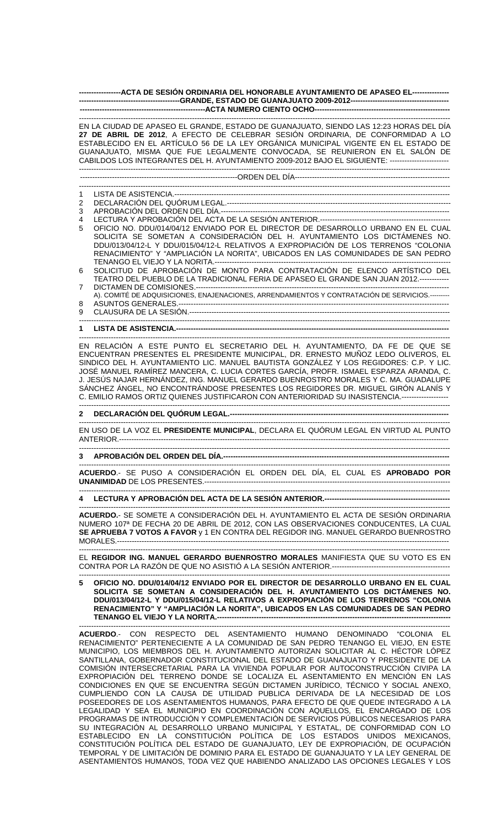**-----------------ACTA DE SESIÓN ORDINARIA DEL HONORABLE AYUNTAMIENTO DE APASEO EL--------------- -----------------------------------------GRANDE, ESTADO DE GUANAJUATO 2009-2012---------------------------------------- ---------------------------------------------------ACTA NUMERO CIENTO OCHO-------------------------------------------------------**  ------------------------------------------------------------------------------------------------------------------------------------------------------- EN LA CIUDAD DE APASEO EL GRANDE, ESTADO DE GUANAJUATO, SIENDO LAS 12:23 HORAS DEL DÍA **27 DE ABRIL DE 2012**, A EFECTO DE CELEBRAR SESIÓN ORDINARIA, DE CONFORMIDAD A LO ESTABLECIDO EN EL ARTÍCULO 56 DE LA LEY ORGÁNICA MUNICIPAL VIGENTE EN EL ESTADO DE GUANAJUATO, MISMA QUE FUE LEGALMENTE CONVOCADA, SE REUNIERON EN EL SALÓN DE CABILDOS LOS INTEGRANTES DEL H. AYUNTAMIENTO 2009-2012 BAJO EL SIGUIENTE: ------------------------ ------------------------------------------------------------------------------------------------------------------------------------------------------- ----------------------------------------------------------------ORDEN DEL DÍA--------------------------------------------------------------- ------------------------------------------------------------------------------------------------------------------------------------------------------- 1 LISTA DE ASISTENCIA.---------------------------------------------------------------------------------------------------------------- 2 DECLARACIÓN DEL QUÓRUM LEGAL.------------------------------------------------------------------------------------------- 3 APROBACIÓN DEL ORDEN DEL DÍA.--4 LECTURA Y APROBACIÓN DEL ACTA DE LA SESIÓN ANTERIOR.----------------------------------------------------- 5 OFICIO NO. DDU/014/04/12 ENVIADO POR EL DIRECTOR DE DESARROLLO URBANO EN EL CUAL SOLICITA SE SOMETAN A CONSIDERACIÓN DEL H. AYUNTAMIENTO LOS DICTÁMENES NO. DDU/013/04/12-L Y DDU/015/04/12-L RELATIVOS A EXPROPIACIÓN DE LOS TERRENOS "COLONIA RENACIMIENTO" Y "AMPLIACIÓN LA NORITA", UBICADOS EN LAS COMUNIDADES DE SAN PEDRO TENANGO EL VIEJO Y LA NORITA.------6 SOLICITUD DE APROBACIÓN DE MONTO PARA CONTRATACIÓN DE ELENCO ARTÍSTICO DEL TEATRO DEL PUEBLO DE LA TRADICIONAL FERIA DE APASEO EL GRANDE SAN JUAN 2012.----7 DICTAMEN DE COMISIONES.------------------------------------------------------------------------------------------------------- A). COMITÉ DE ADQUISICIONES, ENAJENACIONES, ARRENDAMIENTOS Y CONTRATACIÓN DE SERVICIOS.--------- 8 ASUNTOS GENERALES.-------------------------------------------------------------------------------------------------------------- 9 CLAUSURA DE LA SESIÓN.---------------------------------------------------------------------------------------------------------- ------------------------------------------------------------------------------------------------------------------------------------------------------- **1 LISTA DE ASISTENCIA.---------------------------------------------------------------------------------------------------------------**  ------------------------------------------------------------------------------------------------------------------------------------------------------- EN RELACIÓN A ESTE PUNTO EL SECRETARIO DEL H. AYUNTAMIENTO, DA FE DE QUE SE ENCUENTRAN PRESENTES EL PRESIDENTE MUNICIPAL, DR. ERNESTO MUÑOZ LEDO OLIVEROS, EL SINDICO DEL H. AYUNTAMIENTO LIC. MANUEL BAUTISTA GONZÁLEZ Y LOS REGIDORES: C.P. Y LIC. JOSÉ MANUEL RAMÍREZ MANCERA, C. LUCIA CORTES GARCÍA, PROFR. ISMAEL ESPARZA ARANDA, C. J. JESÚS NAJAR HERNÁNDEZ, ING. MANUEL GERARDO BUENROSTRO MORALES Y C. MA. GUADALUPE SÁNCHEZ ÁNGEL, NO ENCONTRÁNDOSE PRESENTES LOS REGIDORES DR. MIGUEL GIRÓN ALANÍS Y C. EMILIO RAMOS ORTIZ QUIENES JUSTIFICARON CON ANTERIORIDAD SU INASISTENCIA.------------------- ------------------------------------------------------------------------------------------------------------------------------------------------------- **2 DECLARACIÓN DEL QUÓRUM LEGAL.---**------------------------------------------------------------------------------------------------------------------------------------------------------- EN USO DE LA VOZ EL **PRESIDENTE MUNICIPAL**, DECLARA EL QUÓRUM LEGAL EN VIRTUD AL PUNTO ANTERIOR.-------------------------------------------------------------------------------------------------------------------------------------- ------------------------------------------------------------------------------------------------------------------------------------------------------- 3 APROBACIÓN DEL ORDEN DEL DÍA.----------------------------------------------------------------------------------------------------------------------------------------------------------------------------------------- **ACUERDO**.- SE PUSO A CONSIDERACIÓN EL ORDEN DEL DÍA, EL CUAL ES **APROBADO POR UNANIMIDAD** DE LOS PRESENTES.---------------------------------------------------------------------------------------------------- ------------------------------------------------------------------------------------------------------------------------------------------------------- **4 LECTURA Y APROBACIÓN DEL ACTA DE LA SESIÓN ANTERIOR.---------------------------------------------------**  ------------------------------------------------------------------------------------------------------------------------------------------------------- **ACUERDO.**- SE SOMETE A CONSIDERACIÓN DEL H. AYUNTAMIENTO EL ACTA DE SESIÓN ORDINARIA NUMERO 107ª DE FECHA 20 DE ABRIL DE 2012, CON LAS OBSERVACIONES CONDUCENTES, LA CUAL **SE APRUEBA 7 VOTOS A FAVOR** y 1 EN CONTRA DEL REGIDOR ING. MANUEL GERARDO BUENROSTRO MORALES.--------------------------------------------------------------------------------------------------------------------------------------- ------------------------------------------------------------------------------------------------------------------------------------------------------- EL **REGIDOR ING. MANUEL GERARDO BUENROSTRO MORALES** MANIFIESTA QUE SU VOTO ES EN CONTRA POR LA RAZÓN DE QUE NO ASISTIÓ A LA SESIÓN ANTERIOR.------------------------------------------------ ------------------------------------------------------------------------------------------------------------------------------------------------------- **5 OFICIO NO. DDU/014/04/12 ENVIADO POR EL DIRECTOR DE DESARROLLO URBANO EN EL CUAL** 

**SOLICITA SE SOMETAN A CONSIDERACIÓN DEL H. AYUNTAMIENTO LOS DICTÁMENES NO. DDU/013/04/12-L Y DDU/015/04/12-L RELATIVOS A EXPROPIACIÓN DE LOS TERRENOS "COLONIA RENACIMIENTO" Y "AMPLIACIÓN LA NORITA", UBICADOS EN LAS COMUNIDADES DE SAN PEDRO TENANGO EL VIEJO Y LA NORITA.-----------------------------------------------------------------------------------------------** 

------------------------------------------------------------------------------------------------------------------------------------------------------- **ACUERDO**.- CON RESPECTO DEL ASENTAMIENTO HUMANO DENOMINADO "COLONIA EL RENACIMIENTO" PERTENECIENTE A LA COMUNIDAD DE SAN PEDRO TENANGO EL VIEJO, EN ESTE MUNICIPIO, LOS MIEMBROS DEL H. AYUNTAMIENTO AUTORIZAN SOLICITAR AL C. HÉCTOR LÓPEZ SANTILLANA, GOBERNADOR CONSTITUCIONAL DEL ESTADO DE GUANAJUATO Y PRESIDENTE DE LA COMISIÓN INTERSECRETARIAL PARA LA VIVIENDA POPULAR POR AUTOCONSTRUCCIÓN CIVIPA LA EXPROPIACIÓN DEL TERRENO DONDE SE LOCALIZA EL ASENTAMIENTO EN MENCIÓN EN LAS CONDICIONES EN QUE SE ENCUENTRA SEGÚN DICTAMEN JURÍDICO, TÉCNICO Y SOCIAL ANEXO, CUMPLIENDO CON LA CAUSA DE UTILIDAD PUBLICA DERIVADA DE LA NECESIDAD DE LOS POSEEDORES DE LOS ASENTAMIENTOS HUMANOS, PARA EFECTO DE QUE QUEDE INTEGRADO A LA LEGALIDAD Y SEA EL MUNICIPIO EN COORDINACIÓN CON AQUELLOS, EL ENCARGADO DE LOS PROGRAMAS DE INTRODUCCIÓN Y COMPLEMENTACIÓN DE SERVICIOS PÚBLICOS NECESARIOS PARA SU INTEGRACIÓN AL DESARROLLO URBANO MUNICIPAL Y ESTATAL, DE CONFORMIDAD CON LO ESTABLECIDO EN LA CONSTITUCIÓN POLÍTICA DE LOS ESTADOS UNIDOS MEXICANOS, CONSTITUCIÓN POLÍTICA DEL ESTADO DE GUANAJUATO, LEY DE EXPROPIACIÓN, DE OCUPACIÓN TEMPORAL Y DE LIMITACIÓN DE DOMINIO PARA EL ESTADO DE GUANAJUATO Y LA LEY GENERAL DE ASENTAMIENTOS HUMANOS, TODA VEZ QUE HABIENDO ANALIZADO LAS OPCIONES LEGALES Y LOS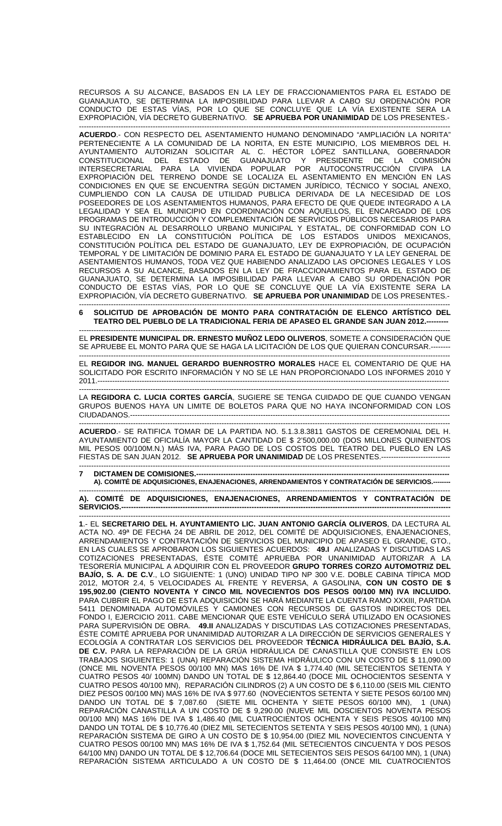RECURSOS A SU ALCANCE, BASADOS EN LA LEY DE FRACCIONAMIENTOS PARA EL ESTADO DE GUANAJUATO, SE DETERMINA LA IMPOSIBILIDAD PARA LLEVAR A CABO SU ORDENACIÓN POR CONDUCTO DE ESTAS VÍAS, POR LO QUE SE CONCLUYE QUE LA VÍA EXISTENTE SERA LA EXPROPIACIÓN, VÍA DECRETO GUBERNATIVO. **SE APRUEBA POR UNANIMIDAD** DE LOS PRESENTES.-

------------------------------------------------------------------------------------------------------------------------------------------------------- **ACUERDO**.- CON RESPECTO DEL ASENTAMIENTO HUMANO DENOMINADO "AMPLIACIÓN LA NORITA" PERTENECIENTE A LA COMUNIDAD DE LA NORITA, EN ESTE MUNICIPIO, LOS MIEMBROS DEL H. AYUNTAMIENTO AUTORIZAN SOLICITAR AL C. HÉCTOR LÓPEZ SANTILLANA, GOBERNADOR CONSTITUCIONAL DEL ESTADO DE GUANAJUATO Y PRESIDENTE DE LA COMISIÓN INTERSECRETARIAL PARA LA VIVIENDA POPULAR POR AUTOCONSTRUCCIÓN CIVIPA LA EXPROPIACIÓN DEL TERRENO DONDE SE LOCALIZA EL ASENTAMIENTO EN MENCIÓN EN LAS CONDICIONES EN QUE SE ENCUENTRA SEGÚN DICTAMEN JURÍDICO, TÉCNICO Y SOCIAL ANEXO, CUMPLIENDO CON LA CAUSA DE UTILIDAD PUBLICA DERIVADA DE LA NECESIDAD DE LOS POSEEDORES DE LOS ASENTAMIENTOS HUMANOS, PARA EFECTO DE QUE QUEDE INTEGRADO A LA LEGALIDAD Y SEA EL MUNICIPIO EN COORDINACIÓN CON AQUELLOS, EL ENCARGADO DE LOS PROGRAMAS DE INTRODUCCIÓN Y COMPLEMENTACIÓN DE SERVICIOS PÚBLICOS NECESARIOS PARA SU INTEGRACIÓN AL DESARROLLO URBANO MUNICIPAL Y ESTATAL, DE CONFORMIDAD CON LO ESTABLECIDO EN LA CONSTITUCIÓN POLÍTICA DE LOS ESTADOS UNIDOS MEXICANOS, CONSTITUCIÓN POLÍTICA DEL ESTADO DE GUANAJUATO, LEY DE EXPROPIACIÓN, DE OCUPACIÓN TEMPORAL Y DE LIMITACIÓN DE DOMINIO PARA EL ESTADO DE GUANAJUATO Y LA LEY GENERAL DE ASENTAMIENTOS HUMANOS, TODA VEZ QUE HABIENDO ANALIZADO LAS OPCIONES LEGALES Y LOS RECURSOS A SU ALCANCE, BASADOS EN LA LEY DE FRACCIONAMIENTOS PARA EL ESTADO DE GUANAJUATO, SE DETERMINA LA IMPOSIBILIDAD PARA LLEVAR A CABO SU ORDENACIÓN POR CONDUCTO DE ESTAS VÍAS, POR LO QUE SE CONCLUYE QUE LA VÍA EXISTENTE SERA LA EXPROPIACIÓN, VÍA DECRETO GUBERNATIVO. **SE APRUEBA POR UNANIMIDAD** DE LOS PRESENTES.-

------------------------------------------------------------------------------------------------------------------------------------------------------- **6 SOLICITUD DE APROBACIÓN DE MONTO PARA CONTRATACIÓN DE ELENCO ARTÍSTICO DEL TEATRO DEL PUEBLO DE LA TRADICIONAL FERIA DE APASEO EL GRANDE SAN JUAN 2012.--**

------------------------------------------------------------------------------------------------------------------------------------------------------- EL **PRESIDENTE MUNICIPAL DR. ERNESTO MUÑOZ LEDO OLIVEROS**, SOMETE A CONSIDERACIÓN QUE SE APRUEBE EL MONTO PARA QUE SE HAGA LA LICITACIÓN DE LOS QUE QUIERAN CONCURSAR.--------

------------------------------------------------------------------------------------------------------------------------------------------------------- EL **REGIDOR ING. MANUEL GERARDO BUENROSTRO MORALES** HACE EL COMENTARIO DE QUE HA SOLICITADO POR ESCRITO INFORMACIÓN Y NO SE LE HAN PROPORCIONADO LOS INFORMES 2010 Y 2011.-----------------------------------------------------------------------------------------------------------------------------------------------

------------------------------------------------------------------------------------------------------------------------------------------------------- LA **REGIDORA C. LUCIA CORTES GARCÍA**, SUGIERE SE TENGA CUIDADO DE QUE CUANDO VENGAN GRUPOS BUENOS HAYA UN LIMITE DE BOLETOS PARA QUE NO HAYA INCONFORMIDAD CON LOS CIUDADANOS.----------------------------------------------------------------------------------------------------------------------------------

------------------------------------------------------------------------------------------------------------------------------------------------------- **ACUERDO**.- SE RATIFICA TOMAR DE LA PARTIDA NO. 5.1.3.8.3811 GASTOS DE CEREMONIAL DEL H. AYUNTAMIENTO DE OFICIALÍA MAYOR LA CANTIDAD DE \$ 2'500,000.00 (DOS MILLONES QUINIENTOS MIL PESOS 00/100M.N.) MÁS IVA, PARA PAGO DE LOS COSTOS DEL TEATRO DEL PUEBLO EN LAS FIESTAS DE SAN JUAN 2012. **SE APRUEBA POR UNANIMIDAD** DE LOS PRESENTES.----------------------------

------------------------------------------------------------------------------------------------------------------------------------------------------- **DICTAMEN DE COMISIONES. A). COMITÉ DE ADQUISICIONES, ENAJENACIONES, ARRENDAMIENTOS Y CONTRATACIÓN DE SERVICIOS.--------** 

------------------------------------------------------------------------------------------------------------------------------------------------------- **A). COMITÉ DE ADQUISICIONES, ENAJENACIONES, ARRENDAMIENTOS Y CONTRATACIÓN DE SERVICIOS.--------------------------------------------------------------------------------------------------------------------------------------** 

------------------------------------------------------------------------------------------------------------------------------------------------------- **1**.- EL **SECRETARIO DEL H. AYUNTAMIENTO LIC. JUAN ANTONIO GARCÍA OLIVEROS**, DA LECTURA AL ACTA NO. 49ª DE FECHA 24 DE ABRIL DE 2012, DEL COMITÉ DE ADQUISICIONES, ENAJENACIONES, ARRENDAMIENTOS Y CONTRATACIÓN DE SERVICIOS DEL MUNICIPIO DE APASEO EL GRANDE, GTO., EN LAS CUALES SE APROBARON LOS SIGUIENTES ACUERDOS: **49.I** ANALIZADAS Y DISCUTIDAS LAS COTIZACIONES PRESENTADAS, ÉSTE COMITÉ APRUEBA POR UNANIMIDAD AUTORIZAR A LA TESORERÍA MUNICIPAL A ADQUIRIR CON EL PROVEEDOR **GRUPO TORRES CORZO AUTOMOTRIZ DEL BAJÍO, S. A. DE C.V**., LO SIGUIENTE: 1 (UNO) UNIDAD TIPO NP 300 V.E. DOBLE CABINA TÍPICA MOD 2012, MOTOR 2.4, 5 VELOCIDADES AL FRENTE Y REVERSA, A GASOLINA, **CON UN COSTO DE \$ 195,902.00 (CIENTO NOVENTA Y CINCO MIL NOVECIENTOS DOS PESOS 00/100 MN) IVA INCLUIDO.**  PARA CUBRIR EL PAGO DE ESTA ADQUISICIÓN SE HARÁ MEDIANTE LA CUENTA RAMO XXXIII, PARTIDA 5411 DENOMINADA AUTOMÓVILES Y CAMIONES CON RECURSOS DE GASTOS INDIRECTOS DEL FONDO I, EJERCICIO 2011. CABE MENCIONAR QUE ESTE VEHÍCULO SERÁ UTILIZADO EN OCASIONES PARA SUPERVISIÓN DE OBRA. **49.II** ANALIZADAS Y DISCUTIDAS LAS COTIZACIONES PRESENTADAS, ÉSTE COMITÉ APRUEBA POR UNANIMIDAD AUTORIZAR A LA DIRECCIÓN DE SERVICIOS GENERALES Y ECOLOGÍA A CONTRATAR LOS SERVICIOS DEL PROVEEDOR **TÉCNICA HIDRÁULICA DEL BAJÍO, S.A. DE C.V.** PARA LA REPARACIÓN DE LA GRÚA HIDRÁULICA DE CANASTILLA QUE CONSISTE EN LOS TRABAJOS SIGUIENTES: 1 (UNA) REPARACIÓN SISTEMA HIDRÁULICO CON UN COSTO DE \$ 11,090.00 (ONCE MIL NOVENTA PESOS 00/100 MN) MAS 16% DE IVA \$ 1,774.40 (MIL SETECIENTOS SETENTA Y CUATRO PESOS 40/ 100MN) DANDO UN TOTAL DE \$ 12,864.40 (DOCE MIL OCHOCIENTOS SESENTA Y CUATRO PESOS 40/100 MN), REPARACIÓN CILINDROS (2) A UN COSTO DE \$ 6,110.00 (SEIS MIL CIENTO DIEZ PESOS 00/100 MN) MAS 16% DE IVA \$ 977.60 (NOVECIENTOS SETENTA Y SIETE PESOS 60/100 MN) DANDO UN TOTAL DE \$ 7,087.60 (SIETE MIL OCHENTA Y SIETE PESOS 60/100 MN), 1 (UNA) REPARACIÓN CANASTILLA A UN COSTO DE \$ 9,290.00 (NUEVE MIL DOSCIENTOS NOVENTA PESOS 00/100 MN) MAS 16% DE IVA \$ 1,486.40 (MIL CUATROCIENTOS OCHENTA Y SEIS PESOS 40/100 MN) DANDO UN TOTAL DE \$ 10,776.40 (DIEZ MIL SETECIENTOS SETENTA Y SEIS PESOS 40/100 MN), 1 (UNA) REPARACIÓN SISTEMA DE GIRO A UN COSTO DE \$ 10,954.00 (DIEZ MIL NOVECIENTOS CINCUENTA Y CUATRO PESOS 00/100 MN) MAS 16% DE IVA \$ 1,752.64 (MIL SETECIENTOS CINCUENTA Y DOS PESOS 64/100 MN) DANDO UN TOTAL DE \$ 12,706.64 (DOCE MIL SETECIENTOS SEIS PESOS 64/100 MN), 1 (UNA) REPARACIÓN SISTEMA ARTICULADO A UN COSTO DE \$ 11,464.00 (ONCE MIL CUATROCIENTOS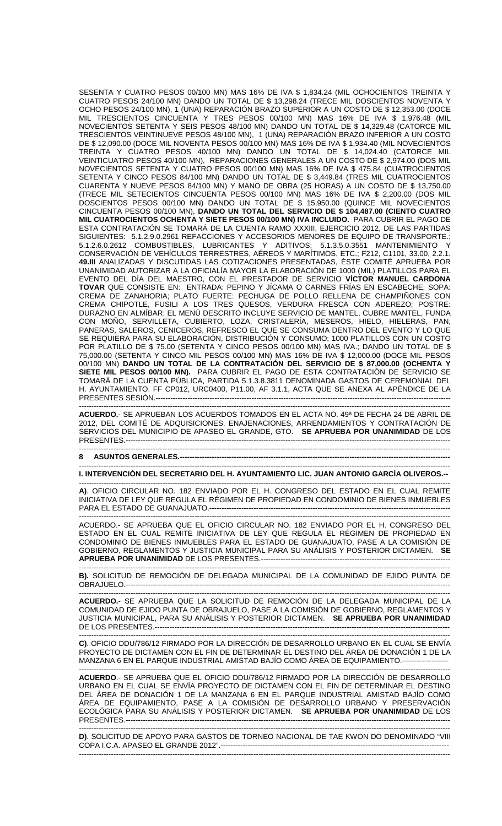SESENTA Y CUATRO PESOS 00/100 MN) MAS 16% DE IVA \$ 1,834.24 (MIL OCHOCIENTOS TREINTA Y CUATRO PESOS 24/100 MN) DANDO UN TOTAL DE \$ 13,298.24 (TRECE MIL DOSCIENTOS NOVENTA Y OCHO PESOS 24/100 MN), 1 (UNA) REPARACIÓN BRAZO SUPERIOR A UN COSTO DE \$ 12,353.00 (DOCE MIL TRESCIENTOS CINCUENTA Y TRES PESOS 00/100 MN) MAS 16% DE IVA \$ 1,976.48 (MIL NOVECIENTOS SETENTA Y SEIS PESOS 48/100 MN) DANDO UN TOTAL DE \$ 14,329.48 (CATORCE MIL TRESCIENTOS VEINTINUEVE PESOS 48/100 MN), 1 (UNA) REPARACIÓN BRAZO INFERIOR A UN COSTO DE \$ 12,090.00 (DOCE MIL NOVENTA PESOS 00/100 MN) MAS 16% DE IVA \$ 1,934.40 (MIL NOVECIENTOS TREINTA Y CUATRO PESOS 40/100 MN) DANDO UN TOTAL DE \$ 14,024.40 (CATORCE MIL VEINTICUATRO PESOS 40/100 MN), REPARACIONES GENERALES A UN COSTO DE \$ 2,974.00 (DOS MIL NOVECIENTOS SETENTA Y CUATRO PESOS 00/100 MN) MAS 16% DE IVA \$ 475.84 (CUATROCIENTOS SETENTA Y CINCO PESOS 84/100 MN) DANDO UN TOTAL DE \$ 3,449.84 (TRES MIL CUATROCIENTOS CUARENTA Y NUEVE PESOS 84/100 MN) Y MANO DE OBRA (25 HORAS) A UN COSTO DE \$ 13,750.00 (TRECE MIL SETECIENTOS CINCUENTA PESOS 00/100 MN) MAS 16% DE IVA \$ 2,200.00 (DOS MIL DOSCIENTOS PESOS 00/100 MN) DANDO UN TOTAL DE \$ 15,950.00 (QUINCE MIL NOVECIENTOS CINCUENTA PESOS 00/100 MN), **DANDO UN TOTAL DEL SERVICIO DE \$ 104,487.00 (CIENTO CUATRO MIL CUATROCIENTOS OCHENTA Y SIETE PESOS 00/100 MN) IVA INCLUIDO.** PARA CUBRIR EL PAGO DE ESTA CONTRATACIÓN SE TOMARÁ DE LA CUENTA RAMO XXXIII, EJERCICIO 2012, DE LAS PARTIDAS SIGUIENTES: 5.1.2.9.0.2961 REFACCIONES Y ACCESORIOS MENORES DE EQUIPO DE TRANSPORTE.; 5.1.2.6.0.2612 COMBUSTIBLES, LUBRICANTES Y ADITIVOS; 5.1.3.5.0.3551 MANTENIMIENTO Y CONSERVACIÓN DE VEHÍCULOS TERRESTRES, AÉREOS Y MARÍTIMOS, ETC.; F212, C1101, 33.00, 2.2.1. **49.III** ANALIZADAS Y DISCUTIDAS LAS COTIZACIONES PRESENTADAS, ÉSTE COMITÉ APRUEBA POR UNANIMIDAD AUTORIZAR A LA OFICIALÍA MAYOR LA ELABORACIÓN DE 1000 (MIL) PLATILLOS PARA EL EVENTO DEL DÍA DEL MAESTRO, CON EL PRESTADOR DE SERVICIO **VÍCTOR MANUEL CARDONA TOVAR** QUE CONSISTE EN: ENTRADA: PEPINO Y JÍCAMA O CARNES FRÍAS EN ESCABECHE; SOPA: CREMA DE ZANAHORIA; PLATO FUERTE: PECHUGA DE POLLO RELLENA DE CHAMPIÑONES CON CREMA CHIPOTLE, FUSILI A LOS TRES QUESOS, VERDURA FRESCA CON ADEREZO; POSTRE: DURAZNO EN ALMÍBAR; EL MENÚ DESCRITO INCLUYE SERVICIO DE MANTEL, CUBRE MANTEL, FUNDA CON MOÑO, SERVILLETA, CUBIERTO, LOZA, CRISTALERÍA, MESEROS, HIELO, HIELERAS, PAN, PANERAS, SALEROS, CENICEROS, REFRESCO EL QUE SE CONSUMA DENTRO DEL EVENTO Y LO QUE SE REQUIERA PARA SU ELABORACIÓN, DISTRIBUCIÓN Y CONSUMO; 1000 PLATILLOS CON UN COSTO POR PLATILLO DE \$ 75.00 (SETENTA Y CINCO PESOS 00/100 MN) MAS IVA.; DANDO UN TOTAL DE \$ 75,000.00 (SETENTA Y CINCO MIL PESOS 00/100 MN) MAS 16% DE IVA \$ 12,000.00 (DOCE MIL PESOS 00/100 MN) **DANDO UN TOTAL DE LA CONTRATACIÓN DEL SERVICIO DE \$ 87,000.00 (OCHENTA Y SIETE MIL PESOS 00/100 MN).** PARA CUBRIR EL PAGO DE ESTA CONTRATACIÓN DE SERVICIO SE TOMARÁ DE LA CUENTA PÚBLICA, PARTIDA 5.1.3.8.3811 DENOMINADA GASTOS DE CEREMONIAL DEL H. AYUNTAMIENTO. FF CP012, URC0400, P11.00, AF 3.1.1, ACTA QUE SE ANEXA AL APÉNDICE DE LA PRESENTES SESIÓN.------------------------------------------------------------------------------------------------------------------------

**ACUERDO.**- SE APRUEBAN LOS ACUERDOS TOMADOS EN EL ACTA NO. 49ª DE FECHA 24 DE ABRIL DE 2012, DEL COMITÉ DE ADQUISICIONES, ENAJENACIONES, ARRENDAMIENTOS Y CONTRATACIÓN DE SERVICIOS DEL MUNICIPIO DE APASEO EL GRANDE, GTO. **SE APRUEBA POR UNANIMIDAD** DE LOS PRESENTES.------------------------------------------------------------------------------------------------------------------------------------

-------------------------------------------------------------------------------------------------------------------------------------------------------

-------------------------------------------------------------------------------------------------------------------------------------------------------

## **8 ASUNTOS GENERALES.--------------------------------------------------------------------------------------------------------------**

------------------------------------------------------------------------------------------------------------------------------------------------------- **I. INTERVENCIÓN DEL SECRETARIO DEL H. AYUNTAMIENTO LIC. JUAN ANTONIO GARCÍA OLIVEROS.--** 

------------------------------------------------------------------------------------------------------------------------------------------------------- **A)**. OFICIO CIRCULAR NO. 182 ENVIADO POR EL H. CONGRESO DEL ESTADO EN EL CUAL REMITE INICIATIVA DE LEY QUE REGULA EL RÉGIMEN DE PROPIEDAD EN CONDOMINIO DE BIENES INMUEBLES PARA EL ESTADO DE GUANAJUATO.--------------------------------------------------------------------------------------------------

------------------------------------------------------------------------------------------------------------------------------------------------------- ACUERDO.- SE APRUEBA QUE EL OFICIO CIRCULAR NO. 182 ENVIADO POR EL H. CONGRESO DEL ESTADO EN EL CUAL REMITE INICIATIVA DE LEY QUE REGULA EL RÉGIMEN DE PROPIEDAD EN CONDOMINIO DE BIENES INMUEBLES PARA EL ESTADO DE GUANAJUATO, PASE A LA COMISIÓN DE GOBIERNO, REGLAMENTOS Y JUSTICIA MUNICIPAL PARA SU ANÁLISIS Y POSTERIOR DICTAMEN. **SE APRUEBA POR UNANIMIDAD DE LOS PRESENTES.------**

------------------------------------------------------------------------------------------------------------------------------------------------------- **B).** SOLICITUD DE REMOCIÓN DE DELEGADA MUNICIPAL DE LA COMUNIDAD DE EJIDO PUNTA DE OBRAJUELO.------------------------------------------------------------------------------------------------------------------------------------

------------------------------------------------------------------------------------------------------------------------------------------------------- **ACUERDO.**- SE APRUEBA QUE LA SOLICITUD DE REMOCIÓN DE LA DELEGADA MUNICIPAL DE LA COMUNIDAD DE EJIDO PUNTA DE OBRAJUELO, PASE A LA COMISIÓN DE GOBIERNO, REGLAMENTOS Y JUSTICIA MUNICIPAL, PARA SU ANÁLISIS Y POSTERIOR DICTAMEN. **SE APRUEBA POR UNANIMIDAD** DE LOS PRESENTES.------------------------------------------------------------------------------------------------------------------------

------------------------------------------------------------------------------------------------------------------------------------------------------- **C)**. OFICIO DDU/786/12 FIRMADO POR LA DIRECCIÓN DE DESARROLLO URBANO EN EL CUAL SE ENVÍA PROYECTO DE DICTAMEN CON EL FIN DE DETERMINAR EL DESTINO DEL ÁREA DE DONACIÓN 1 DE LA MANZANA 6 EN EL PARQUE INDUSTRIAL AMISTAD BAJÍO COMO ÁREA DE EQUIPAMIENTO.-------------------

------------------------------------------------------------------------------------------------------------------------------------------------------- **ACUERDO**.- SE APRUEBA QUE EL OFICIO DDU/786/12 FIRMADO POR LA DIRECCIÓN DE DESARROLLO URBANO EN EL CUAL SE ENVÍA PROYECTO DE DICTAMEN CON EL FIN DE DETERMINAR EL DESTINO DEL ÁREA DE DONACIÓN 1 DE LA MANZANA 6 EN EL PARQUE INDUSTRIAL AMISTAD BAJÍO COMO ÁREA DE EQUIPAMIENTO, PASE A LA COMISIÓN DE DESARROLLO URBANO Y PRESERVACIÓN ECOLÓGICA PARA SU ANÁLISIS Y POSTERIOR DICTAMEN. **SE APRUEBA POR UNANIMIDAD** DE LOS PRESENTES.------------------------------------------------------------------------------------------------------------------------------------

| D). SOLICITUD DE APOYO PARA GASTOS DE TORNEO NACIONAL DE TAE KWON DO DENOMINADO "VIII |  |
|---------------------------------------------------------------------------------------|--|
|                                                                                       |  |